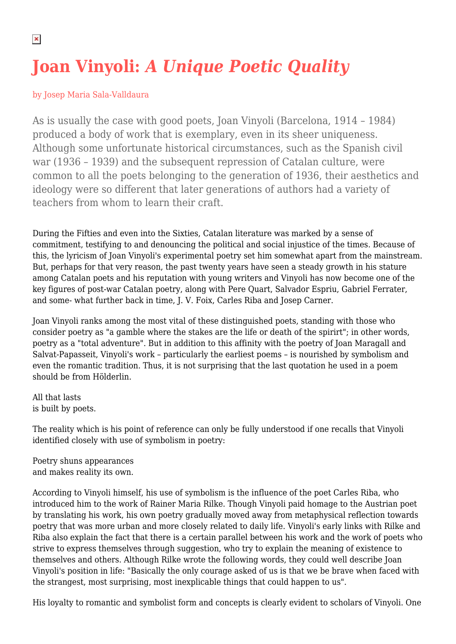## **Joan Vinyoli:** *A Unique Poetic Quality*

## by Josep Maria Sala-Valldaura

As is usually the case with good poets, Joan Vinyoli (Barcelona, 1914 – 1984) produced a body of work that is exemplary, even in its sheer uniqueness. Although some unfortunate historical circumstances, such as the Spanish civil war (1936 – 1939) and the subsequent repression of Catalan culture, were common to all the poets belonging to the generation of 1936, their aesthetics and ideology were so different that later generations of authors had a variety of teachers from whom to learn their craft.

During the Fifties and even into the Sixties, Catalan literature was marked by a sense of commitment, testifying to and denouncing the political and social injustice of the times. Because of this, the lyricism of Joan Vinyoli's experimental poetry set him somewhat apart from the mainstream. But, perhaps for that very reason, the past twenty years have seen a steady growth in his stature among Catalan poets and his reputation with young writers and Vinyoli has now become one of the key figures of post-war Catalan poetry, along with Pere Quart, Salvador Espriu, Gabriel Ferrater, and some- what further back in time, J. V. Foix, Carles Riba and Josep Carner.

Joan Vinyoli ranks among the most vital of these distinguished poets, standing with those who consider poetry as "a gamble where the stakes are the life or death of the spirirt"; in other words, poetry as a "total adventure". But in addition to this affinity with the poetry of Joan Maragall and Salvat-Papasseit, Vinyoli's work – particularly the earliest poems – is nourished by symbolism and even the romantic tradition. Thus, it is not surprising that the last quotation he used in a poem should be from Hölderlin.

All that lasts is built by poets.

The reality which is his point of reference can only be fully understood if one recalls that Vinyoli identified closely with use of symbolism in poetry:

Poetry shuns appearances and makes reality its own.

According to Vinyoli himself, his use of symbolism is the influence of the poet Carles Riba, who introduced him to the work of Rainer Maria Rilke. Though Vinyoli paid homage to the Austrian poet by translating his work, his own poetry gradually moved away from metaphysical reflection towards poetry that was more urban and more closely related to daily life. Vinyoli's early links with Rilke and Riba also explain the fact that there is a certain parallel between his work and the work of poets who strive to express themselves through suggestion, who try to explain the meaning of existence to themselves and others. Although Rilke wrote the following words, they could well describe Joan Vinyoli's position in life: "Basically the only courage asked of us is that we be brave when faced with the strangest, most surprising, most inexplicable things that could happen to us".

His loyalty to romantic and symbolist form and concepts is clearly evident to scholars of Vinyoli. One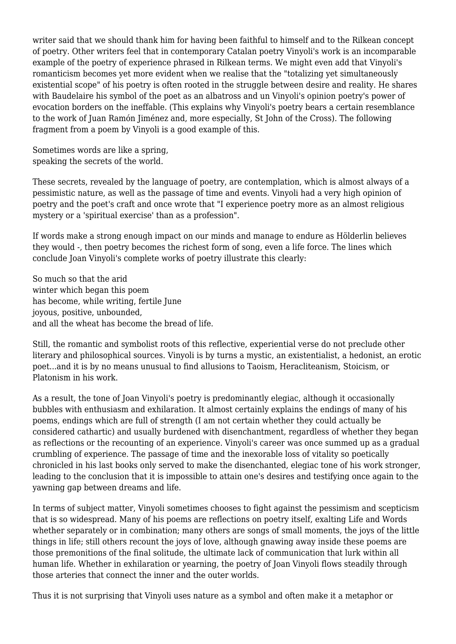writer said that we should thank him for having been faithful to himself and to the Rilkean concept of poetry. Other writers feel that in contemporary Catalan poetry Vinyoli's work is an incomparable example of the poetry of experience phrased in Rilkean terms. We might even add that Vinyoli's romanticism becomes yet more evident when we realise that the "totalizing yet simultaneously existential scope" of his poetry is often rooted in the struggle between desire and reality. He shares with Baudelaire his symbol of the poet as an albatross and un Vinyoli's opinion poetry's power of evocation borders on the ineffable. (This explains why Vinyoli's poetry bears a certain resemblance to the work of Juan Ramón Jiménez and, more especially, St John of the Cross). The following fragment from a poem by Vinyoli is a good example of this.

Sometimes words are like a spring, speaking the secrets of the world.

These secrets, revealed by the language of poetry, are contemplation, which is almost always of a pessimistic nature, as well as the passage of time and events. Vinyoli had a very high opinion of poetry and the poet's craft and once wrote that "I experience poetry more as an almost religious mystery or a 'spiritual exercise' than as a profession".

If words make a strong enough impact on our minds and manage to endure as Hölderlin believes they would -, then poetry becomes the richest form of song, even a life force. The lines which conclude Joan Vinyoli's complete works of poetry illustrate this clearly:

So much so that the arid winter which began this poem has become, while writing, fertile June joyous, positive, unbounded, and all the wheat has become the bread of life.

Still, the romantic and symbolist roots of this reflective, experiential verse do not preclude other literary and philosophical sources. Vinyoli is by turns a mystic, an existentialist, a hedonist, an erotic poet...and it is by no means unusual to find allusions to Taoism, Heracliteanism, Stoicism, or Platonism in his work.

As a result, the tone of Joan Vinyoli's poetry is predominantly elegiac, although it occasionally bubbles with enthusiasm and exhilaration. It almost certainly explains the endings of many of his poems, endings which are full of strength (I am not certain whether they could actually be considered cathartic) and usually burdened with disenchantment, regardless of whether they began as reflections or the recounting of an experience. Vinyoli's career was once summed up as a gradual crumbling of experience. The passage of time and the inexorable loss of vitality so poetically chronicled in his last books only served to make the disenchanted, elegiac tone of his work stronger, leading to the conclusion that it is impossible to attain one's desires and testifying once again to the yawning gap between dreams and life.

In terms of subject matter, Vinyoli sometimes chooses to fight against the pessimism and scepticism that is so widespread. Many of his poems are reflections on poetry itself, exalting Life and Words whether separately or in combination; many others are songs of small moments, the joys of the little things in life; still others recount the joys of love, although gnawing away inside these poems are those premonitions of the final solitude, the ultimate lack of communication that lurk within all human life. Whether in exhilaration or yearning, the poetry of Joan Vinyoli flows steadily through those arteries that connect the inner and the outer worlds.

Thus it is not surprising that Vinyoli uses nature as a symbol and often make it a metaphor or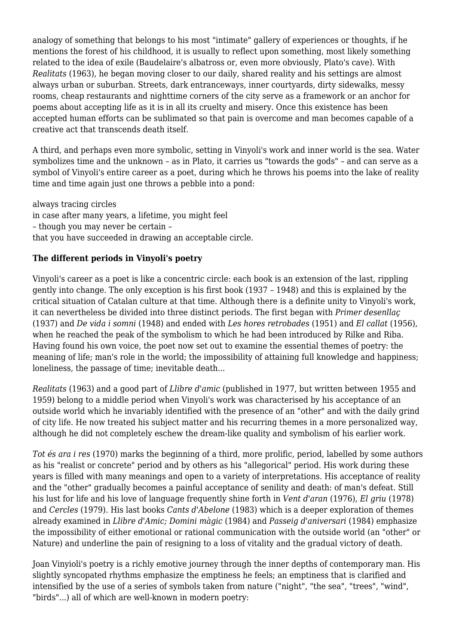analogy of something that belongs to his most "intimate" gallery of experiences or thoughts, if he mentions the forest of his childhood, it is usually to reflect upon something, most likely something related to the idea of exile (Baudelaire's albatross or, even more obviously, Plato's cave). With *Realitats* (1963), he began moving closer to our daily, shared reality and his settings are almost always urban or suburban. Streets, dark entranceways, inner courtyards, dirty sidewalks, messy rooms, cheap restaurants and nighttime corners of the city serve as a framework or an anchor for poems about accepting life as it is in all its cruelty and misery. Once this existence has been accepted human efforts can be sublimated so that pain is overcome and man becomes capable of a creative act that transcends death itself.

A third, and perhaps even more symbolic, setting in Vinyoli's work and inner world is the sea. Water symbolizes time and the unknown – as in Plato, it carries us "towards the gods" – and can serve as a symbol of Vinyoli's entire career as a poet, during which he throws his poems into the lake of reality time and time again just one throws a pebble into a pond:

always tracing circles in case after many years, a lifetime, you might feel – though you may never be certain – that you have succeeded in drawing an acceptable circle.

## **The different periods in Vinyoli's poetry**

Vinyoli's career as a poet is like a concentric circle: each book is an extension of the last, rippling gently into change. The only exception is his first book (1937 – 1948) and this is explained by the critical situation of Catalan culture at that time. Although there is a definite unity to Vinyoli's work, it can nevertheless be divided into three distinct periods. The first began with *Primer desenllaç* (1937) and *De vida i somni* (1948) and ended with *Les hores retrobades* (1951) and *El callat* (1956), when he reached the peak of the symbolism to which he had been introduced by Rilke and Riba. Having found his own voice, the poet now set out to examine the essential themes of poetry: the meaning of life; man's role in the world; the impossibility of attaining full knowledge and happiness; loneliness, the passage of time; inevitable death...

*Realitats* (1963) and a good part of *Llibre d'amic* (published in 1977, but written between 1955 and 1959) belong to a middle period when Vinyoli's work was characterised by his acceptance of an outside world which he invariably identified with the presence of an "other" and with the daily grind of city life. He now treated his subject matter and his recurring themes in a more personalized way, although he did not completely eschew the dream-like quality and symbolism of his earlier work.

*Tot és ara i res* (1970) marks the beginning of a third, more prolific, period, labelled by some authors as his "realist or concrete" period and by others as his "allegorical" period. His work during these years is filled with many meanings and open to a variety of interpretations. His acceptance of reality and the "other" gradually becomes a painful acceptance of senility and death: of man's defeat. Still his lust for life and his love of language frequently shine forth in *Vent d'aran* (1976), *El griu* (1978) and *Cercles* (1979). His last books *Cants d'Abelone* (1983) which is a deeper exploration of themes already examined in *Llibre d'Amic; Domini màgic* (1984) and *Passeig d'aniversari* (1984) emphasize the impossibility of either emotional or rational communication with the outside world (an "other" or Nature) and underline the pain of resigning to a loss of vitality and the gradual victory of death.

Joan Vinyioli's poetry is a richly emotive journey through the inner depths of contemporary man. His slightly syncopated rhythms emphasize the emptiness he feels; an emptiness that is clarified and intensified by the use of a series of symbols taken from nature ("night", "the sea", "trees", "wind", "birds"...) all of which are well-known in modern poetry: